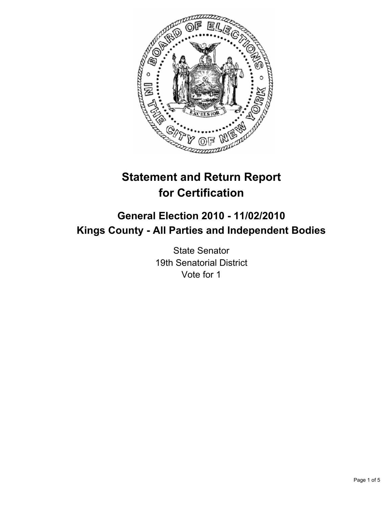

# **Statement and Return Report for Certification**

# **General Election 2010 - 11/02/2010 Kings County - All Parties and Independent Bodies**

State Senator 19th Senatorial District Vote for 1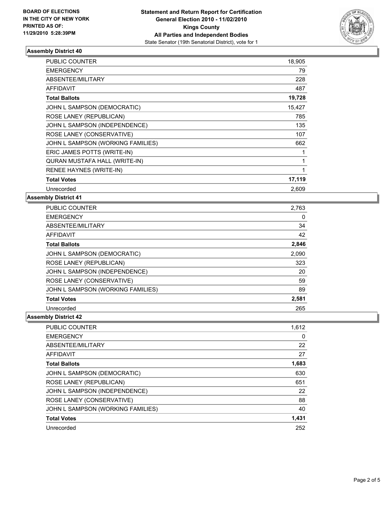

# **Assembly District 40**

| <b>PUBLIC COUNTER</b>             | 18,905       |
|-----------------------------------|--------------|
| <b>EMERGENCY</b>                  | 79           |
| ABSENTEE/MILITARY                 | 228          |
| <b>AFFIDAVIT</b>                  | 487          |
| <b>Total Ballots</b>              | 19,728       |
| JOHN L SAMPSON (DEMOCRATIC)       | 15,427       |
| ROSE LANEY (REPUBLICAN)           | 785          |
| JOHN L SAMPSON (INDEPENDENCE)     | 135          |
| ROSE LANEY (CONSERVATIVE)         | 107          |
| JOHN L SAMPSON (WORKING FAMILIES) | 662          |
| ERIC JAMES POTTS (WRITE-IN)       | 1            |
| QURAN MUSTAFA HALL (WRITE-IN)     | 1            |
| <b>RENEE HAYNES (WRITE-IN)</b>    | $\mathbf{1}$ |
| <b>Total Votes</b>                | 17,119       |
| Unrecorded                        | 2,609        |

## **Assembly District 41**

| <b>PUBLIC COUNTER</b>             | 2,763 |
|-----------------------------------|-------|
| <b>EMERGENCY</b>                  | 0     |
| ABSENTEE/MILITARY                 | 34    |
| <b>AFFIDAVIT</b>                  | 42    |
| <b>Total Ballots</b>              | 2,846 |
| JOHN L SAMPSON (DEMOCRATIC)       | 2,090 |
| ROSE LANEY (REPUBLICAN)           | 323   |
| JOHN L SAMPSON (INDEPENDENCE)     | 20    |
| ROSE LANEY (CONSERVATIVE)         | 59    |
| JOHN L SAMPSON (WORKING FAMILIES) | 89    |
| <b>Total Votes</b>                | 2,581 |
| Unrecorded                        | 265   |

## **Assembly District 42**

| <b>PUBLIC COUNTER</b>             | 1,612 |
|-----------------------------------|-------|
| <b>EMERGENCY</b>                  | 0     |
| ABSENTEE/MILITARY                 | 22    |
| AFFIDAVIT                         | 27    |
| <b>Total Ballots</b>              | 1,683 |
| JOHN L SAMPSON (DEMOCRATIC)       | 630   |
| ROSE LANEY (REPUBLICAN)           | 651   |
| JOHN L SAMPSON (INDEPENDENCE)     | 22    |
| ROSE LANEY (CONSERVATIVE)         | 88    |
| JOHN L SAMPSON (WORKING FAMILIES) | 40    |
| <b>Total Votes</b>                | 1,431 |
| Unrecorded                        | 252   |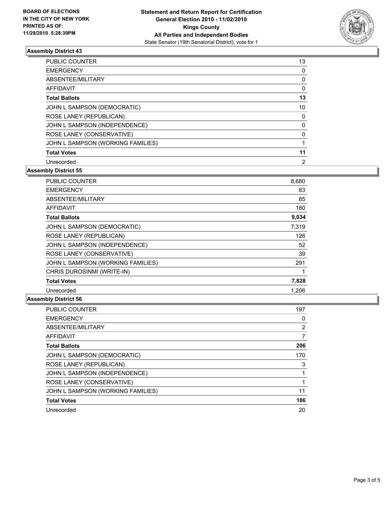

# **Assembly District 43**

| <b>PUBLIC COUNTER</b>             | 13 |
|-----------------------------------|----|
|                                   |    |
| <b>EMERGENCY</b>                  | 0  |
| ABSENTEE/MILITARY                 | 0  |
| AFFIDAVIT                         | 0  |
| <b>Total Ballots</b>              | 13 |
| JOHN L SAMPSON (DEMOCRATIC)       | 10 |
| ROSE LANEY (REPUBLICAN)           | 0  |
| JOHN L SAMPSON (INDEPENDENCE)     | 0  |
| ROSE LANEY (CONSERVATIVE)         | 0  |
| JOHN L SAMPSON (WORKING FAMILIES) |    |
| <b>Total Votes</b>                | 11 |
| Unrecorded                        | 2  |

**Assembly District 55**

| <b>PUBLIC COUNTER</b>             | 8,680 |
|-----------------------------------|-------|
| <b>EMERGENCY</b>                  | 83    |
| ABSENTEE/MILITARY                 | 85    |
| <b>AFFIDAVIT</b>                  | 180   |
| <b>Total Ballots</b>              | 9,034 |
| JOHN L SAMPSON (DEMOCRATIC)       | 7,319 |
| ROSE LANEY (REPUBLICAN)           | 126   |
| JOHN L SAMPSON (INDEPENDENCE)     | 52    |
| ROSE LANEY (CONSERVATIVE)         | 39    |
| JOHN L SAMPSON (WORKING FAMILIES) | 291   |
| CHRIS DUROSINMI (WRITE-IN)        |       |
| <b>Total Votes</b>                | 7,828 |
| Unrecorded                        | 1,206 |

# **Assembly District 56**

| PUBLIC COUNTER                    | 197            |
|-----------------------------------|----------------|
| <b>EMERGENCY</b>                  | 0              |
| ABSENTEE/MILITARY                 | $\overline{2}$ |
| AFFIDAVIT                         |                |
| <b>Total Ballots</b>              | 206            |
| JOHN L SAMPSON (DEMOCRATIC)       | 170            |
| ROSE LANEY (REPUBLICAN)           | 3              |
| JOHN L SAMPSON (INDEPENDENCE)     |                |
| ROSE LANEY (CONSERVATIVE)         |                |
| JOHN L SAMPSON (WORKING FAMILIES) | 11             |
| <b>Total Votes</b>                | 186            |
| Unrecorded                        | 20             |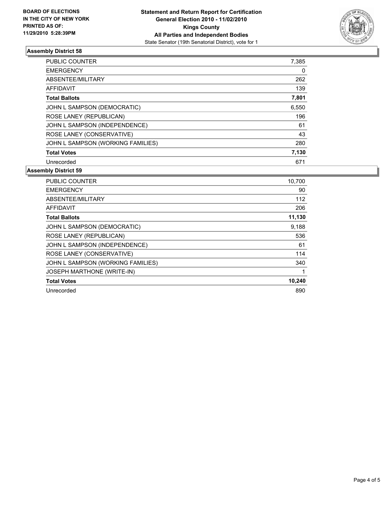

# **Assembly District 58**

| <b>PUBLIC COUNTER</b>             | 7,385 |
|-----------------------------------|-------|
| <b>EMERGENCY</b>                  | 0     |
| ABSENTEE/MILITARY                 | 262   |
| <b>AFFIDAVIT</b>                  | 139   |
| <b>Total Ballots</b>              | 7,801 |
| JOHN L SAMPSON (DEMOCRATIC)       | 6,550 |
| ROSE LANEY (REPUBLICAN)           | 196   |
| JOHN L SAMPSON (INDEPENDENCE)     | 61    |
| ROSE LANEY (CONSERVATIVE)         | 43    |
| JOHN L SAMPSON (WORKING FAMILIES) | 280   |
| <b>Total Votes</b>                | 7,130 |
| Unrecorded                        | 671   |

#### **Assembly District 59**

| <b>PUBLIC COUNTER</b>             | 10,700 |
|-----------------------------------|--------|
| <b>EMERGENCY</b>                  | 90     |
| ABSENTEE/MILITARY                 | 112    |
| <b>AFFIDAVIT</b>                  | 206    |
| <b>Total Ballots</b>              | 11,130 |
| JOHN L SAMPSON (DEMOCRATIC)       | 9,188  |
| ROSE LANEY (REPUBLICAN)           | 536    |
| JOHN L SAMPSON (INDEPENDENCE)     | 61     |
| ROSE LANEY (CONSERVATIVE)         | 114    |
| JOHN L SAMPSON (WORKING FAMILIES) | 340    |
| <b>JOSEPH MARTHONE (WRITE-IN)</b> | 1      |
| <b>Total Votes</b>                | 10,240 |
| Unrecorded                        | 890    |